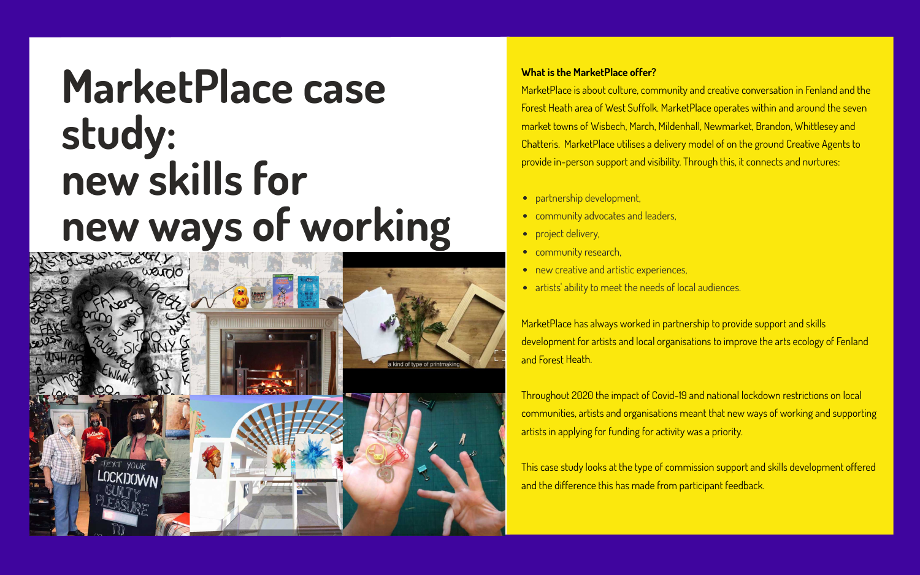# **MarketPlace case study: new skills for new ways of working**



### **What is the MarketPlace offer?**

MarketPlace is about culture, community and creative conversation in Fenland and the Forest Heath area of West Suffolk. MarketPlace operates within and around the seven market towns of Wisbech, March, Mildenhall, Newmarket, Brandon, Whittlesey and Chatteris. MarketPlace utilises a delivery model of on the ground Creative Agents to provide in-person support and visibility. Through this, it connects and nurtures:

- partnership development,
- community advocates and leaders,
- project delivery,
- **•** community research,
- new creative and artistic experiences,
- artists' ability to meet the needs of local audiences.

MarketPlace has always worked in partnership to provide support and skills development for artists and local organisations to improve the arts ecology of Fenland and Forest Heath.

Throughout 2020 the impact of Covid-19 and national lockdown restrictions on local communities, artists and organisations meant that new ways of working and supporting artists in applying for funding for activity was a priority.

This case study looks at the type of commission support and skills development offered and the difference this has made from participant feedback.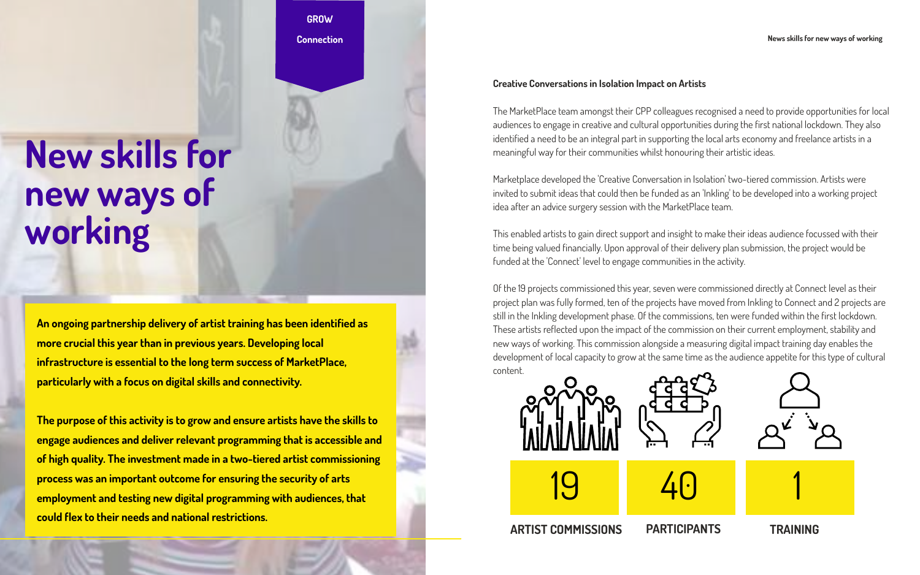**An ongoing partnership delivery of artist training has been identified as more crucial this year than in previous years. Developing local infrastructure is essential to the long term success of MarketPlace, particularly with a focus on digital skills and connectivity.** 

**The purpose of this activity is to grow and ensure artists have the skills to engage audiences and deliver relevant programming that is accessible and of high quality. The investment made in a two-tiered artist commissioning process was an important outcome for ensuring the security of arts employment and testing new digital programming with audiences, that could flex to their needs and national restrictions.** 

## **New skills for new ways of working**

**GROW Connection**











#### **Creative Conversations in Isolation Impact on Artists**

The MarketPlace team amongst their CPP colleagues recognised a need to provide opportunities for local audiences to engage in creative and cultural opportunities during the first national lockdown. They also identified a need to be an integral part in supporting the local arts economy and freelance artists in a meaningful way for their communities whilst honouring their artistic ideas.

Marketplace developed the 'Creative Conversation in Isolation' two-tiered commission. Artists were invited to submit ideas that could then be funded as an 'Inkling' to be developed into a working project idea after an advice surgery session with the MarketPlace team.

This enabled artists to gain direct support and insight to make their ideas audience focussed with their time being valued financially. Upon approval of their delivery plan submission, the project would be funded at the 'Connect' level to engage communities in the activity.

Of the 19 projects commissioned this year, seven were commissioned directly at Connect level as their project plan was fully formed, ten of the projects have moved from Inkling to Connect and 2 projects are still in the Inkling development phase. Of the commissions, ten were funded within the first lockdown. These artists reflected upon the impact of the commission on their current employment, stability and new ways of working. This commission alongside a measuring digital impact training day enables the development of local capacity to grow at the same time as the audience appetite for this type of cultural content.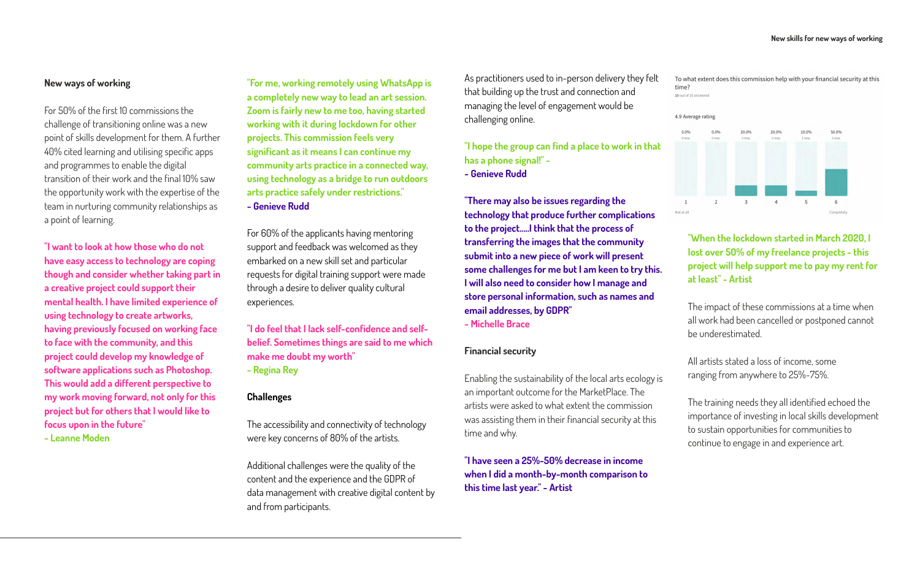#### **New ways of working**

For 50% of the first 10 commissions the challenge of transitioning online was a new point of skills development for them. A further 40% cited learning and utilising specific apps and programmes to enable the digital transition of their work and the final 10% saw the opportunity work with the expertise of the team in nurturing community relationships as a point of learning.

**"I want to look at how those who do not have easy access to technology are coping though and consider whether taking part in a creative project could support their mental health. I have limited experience of using technology to create artworks, having previously focused on working face to face with the community, and this project could develop my knowledge of software applications such as Photoshop. This would add a different perspective to my work moving forward, not only for this project but for others that I would like to focus upon in the future" - Leanne Moden**

**"For me, working remotely using WhatsApp is a completely new way to lead an art session. Zoom is fairly new to me too, having started working with it during lockdown for other projects. This commission feels very significant as it means I can continue my community arts practice in a connected way, using technology as a bridge to run outdoors arts practice safely under restrictions." - Genieve Rudd**

For 60% of the applicants having mentoring support and feedback was welcomed as they embarked on a new skill set and particular requests for digital training support were made through a desire to deliver quality cultural experiences.

**"I do feel that I lack self-confidence and selfbelief. Sometimes things are said to me which make me doubt my worth" - Regina Rey**

#### **Challenges**

The accessibility and connectivity of technology were key concerns of 80% of the artists.

Additional challenges were the quality of the content and the experience and the GDPR of data management with creative digital content by and from participants.

As practitioners used to in-person delivery they felt that building up the trust and connection and managing the level of engagement would be challenging online.

**"I hope the group can find a place to work in that has a phone signal!" -** 

**- Genieve Rudd**

**"There may also be issues regarding the technology that produce further complications to the project.....I think that the process of transferring the images that the community submit into a new piece of work will present some challenges for me but I am keen to try this. I will also need to consider how I manage and store personal information, such as names and email addresses, by GDPR" - Michelle Brace**

#### **Financial security**

Enabling the sustainability of the local arts ecology is an important outcome for the MarketPlace. The artists were asked to what extent the commission was assisting them in their financial security at this time and why.

**"I have seen a 25%-50% decrease in income when I did a month-by-month comparison to this time last year." - Artist**

To what extent does this commission help with your financial security at this time?

10 out of 10 answered



**"When the lockdown started in March 2020, I lost over 50% of my freelance projects - this project will help support me to pay my rent for at least" - Artist**

The impact of these commissions at a time when all work had been cancelled or postponed cannot be underestimated.

All artists stated a loss of income, some ranging from anywhere to 25%-75%.

The training needs they all identified echoed the importance of investing in local skills development to sustain opportunities for communities to continue to engage in and experience art.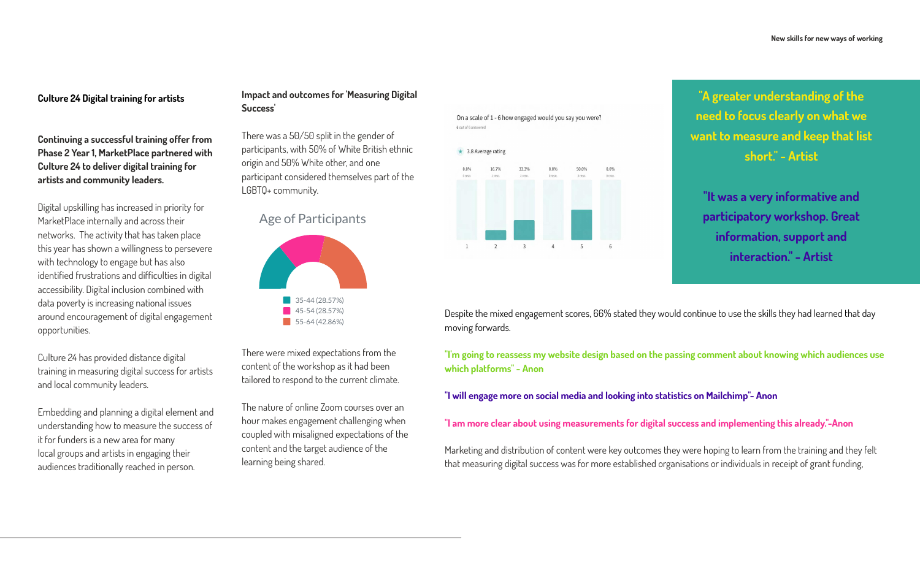#### **Culture 24 Digital training for artists**

**Continuing a successful training offer from Phase 2 Year 1, MarketPlace partnered with Culture 24 to deliver digital training for artists and community leaders.**

Digital upskilling has increased in priority for MarketPlace internally and across their networks. The activity that has taken place this year has shown a willingness to persevere with technology to engage but has also identified frustrations and difficulties in digital accessibility. Digital inclusion combined with data poverty is increasing national issues around encouragement of digital engagement opportunities.

Culture 24 has provided distance digital training in measuring digital success for artists and local community leaders.

Embedding and planning a digital element and understanding how to measure the success of it for funders is a new area for many local groups and artists in engaging their audiences traditionally reached in person.

**"A greater understanding of the need to focus clearly on what we want to measure and keep that list short." - Artist**

**"It was a very informative and participatory workshop. Great information, support and interaction." - Artist**

## Age of Participants



#### **Impact and outcomes for 'Measuring Digital Success'**

There was a 50/50 split in the gender of participants, with 50% of White British ethnic origin and 50% White other, and one participant considered themselves part of the LGBTQ+ community.

There were mixed expectations from the content of the workshop as it had been tailored to respond to the current climate.

The nature of online Zoom courses over an hour makes engagement challenging when coupled with misaligned expectations of the content and the target audience of the learning being shared.

Despite the mixed engagement scores, 66% stated they would continue to use the skills they had learned that day moving forwards.

**"I'm going to reassess my website design based on the passing comment about knowing which audiences use which platforms" - Anon**

**"I will engage more on social media and looking into statistics on Mailchimp"- Anon**

**"I am more clear about using measurements for digital success and implementing this already."-Anon**

Marketing and distribution of content were key outcomes they were hoping to learn from the training and they felt that measuring digital success was for more established organisations or individuals in receipt of grant funding,













6 out of 6 answered

On a scale of 1 - 6 how engaged would you say you were?